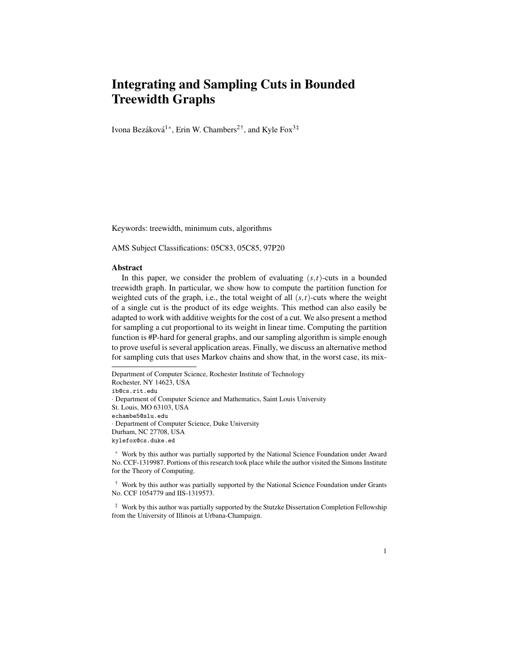# Integrating and Sampling Cuts in Bounded Treewidth Graphs

Ivona Bezáková<sup>1\*</sup>, Erin W. Chambers<sup>2†</sup>, and Kyle Fox<sup>3‡</sup>

Keywords: treewidth, minimum cuts, algorithms

AMS Subject Classifications: 05C83, 05C85, 97P20

#### Abstract

In this paper, we consider the problem of evaluating  $(s,t)$ -cuts in a bounded treewidth graph. In particular, we show how to compute the partition function for weighted cuts of the graph, i.e., the total weight of all  $(s,t)$ -cuts where the weight of a single cut is the product of its edge weights. This method can also easily be adapted to work with additive weights for the cost of a cut. We also present a method for sampling a cut proportional to its weight in linear time. Computing the partition function is #P-hard for general graphs, and our sampling algorithm is simple enough to prove useful is several application areas. Finally, we discuss an alternative method for sampling cuts that uses Markov chains and show that, in the worst case, its mix-

Department of Computer Science, Rochester Institute of Technology Rochester, NY 14623, USA ib@cs.rit.edu · Department of Computer Science and Mathematics, Saint Louis University St. Louis, MO 63103, USA echambe5@slu.edu · Department of Computer Science, Duke University Durham, NC 27708, USA kylefox@cs.duke.ed

<sup>∗</sup> Work by this author was partially supported by the National Science Foundation under Award No. CCF-1319987. Portions of this research took place while the author visited the Simons Institute for the Theory of Computing.

† Work by this author was partially supported by the National Science Foundation under Grants No. CCF 1054779 and IIS-1319573.

‡ Work by this author was partially supported by the Stutzke Dissertation Completion Fellowship from the University of Illinois at Urbana-Champaign.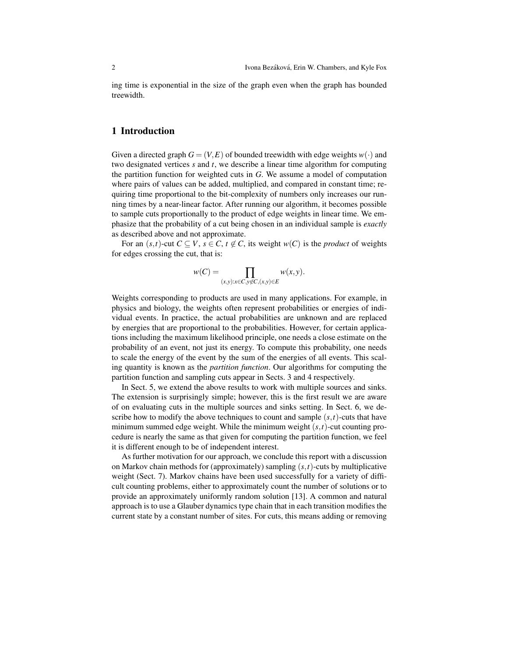ing time is exponential in the size of the graph even when the graph has bounded treewidth.

## 1 Introduction

Given a directed graph  $G = (V, E)$  of bounded treewidth with edge weights  $w(\cdot)$  and two designated vertices *s* and *t*, we describe a linear time algorithm for computing the partition function for weighted cuts in *G*. We assume a model of computation where pairs of values can be added, multiplied, and compared in constant time; requiring time proportional to the bit-complexity of numbers only increases our running times by a near-linear factor. After running our algorithm, it becomes possible to sample cuts proportionally to the product of edge weights in linear time. We emphasize that the probability of a cut being chosen in an individual sample is *exactly* as described above and not approximate.

For an  $(s,t)$ -cut  $C \subseteq V$ ,  $s \in C$ ,  $t \notin C$ , its weight  $w(C)$  is the *product* of weights for edges crossing the cut, that is:

$$
w(C) = \prod_{(x,y):x \in C, y \notin C, (x,y) \in E} w(x,y).
$$

Weights corresponding to products are used in many applications. For example, in physics and biology, the weights often represent probabilities or energies of individual events. In practice, the actual probabilities are unknown and are replaced by energies that are proportional to the probabilities. However, for certain applications including the maximum likelihood principle, one needs a close estimate on the probability of an event, not just its energy. To compute this probability, one needs to scale the energy of the event by the sum of the energies of all events. This scaling quantity is known as the *partition function*. Our algorithms for computing the partition function and sampling cuts appear in Sects. 3 and 4 respectively.

In Sect. 5, we extend the above results to work with multiple sources and sinks. The extension is surprisingly simple; however, this is the first result we are aware of on evaluating cuts in the multiple sources and sinks setting. In Sect. 6, we describe how to modify the above techniques to count and sample  $(s,t)$ -cuts that have minimum summed edge weight. While the minimum weight (*s*,*t*)-cut counting procedure is nearly the same as that given for computing the partition function, we feel it is different enough to be of independent interest.

As further motivation for our approach, we conclude this report with a discussion on Markov chain methods for (approximately) sampling (*s*,*t*)-cuts by multiplicative weight (Sect. 7). Markov chains have been used successfully for a variety of difficult counting problems, either to approximately count the number of solutions or to provide an approximately uniformly random solution [13]. A common and natural approach is to use a Glauber dynamics type chain that in each transition modifies the current state by a constant number of sites. For cuts, this means adding or removing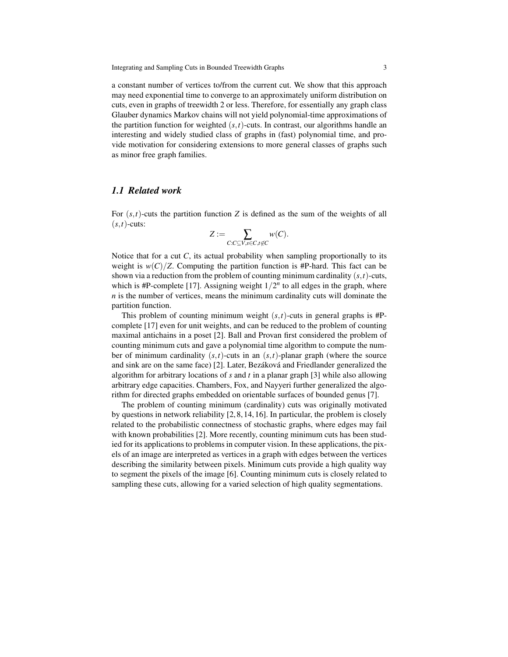a constant number of vertices to/from the current cut. We show that this approach may need exponential time to converge to an approximately uniform distribution on cuts, even in graphs of treewidth 2 or less. Therefore, for essentially any graph class Glauber dynamics Markov chains will not yield polynomial-time approximations of the partition function for weighted  $(s,t)$ -cuts. In contrast, our algorithms handle an interesting and widely studied class of graphs in (fast) polynomial time, and provide motivation for considering extensions to more general classes of graphs such as minor free graph families.

## *1.1 Related work*

For  $(s,t)$ -cuts the partition function *Z* is defined as the sum of the weights of all  $(s,t)$ -cuts:

$$
Z:=\sum_{C:C\subseteq V,s\in C,t\not\in C}w(C).
$$

Notice that for a cut  $C$ , its actual probability when sampling proportionally to its weight is  $w(C)/Z$ . Computing the partition function is #P-hard. This fact can be shown via a reduction from the problem of counting minimum cardinality (*s*,*t*)-cuts, which is  $#P$ -complete [17]. Assigning weight  $1/2<sup>n</sup>$  to all edges in the graph, where *n* is the number of vertices, means the minimum cardinality cuts will dominate the partition function.

This problem of counting minimum weight (*s*,*t*)-cuts in general graphs is #Pcomplete [17] even for unit weights, and can be reduced to the problem of counting maximal antichains in a poset [2]. Ball and Provan first considered the problem of counting minimum cuts and gave a polynomial time algorithm to compute the number of minimum cardinality  $(s,t)$ -cuts in an  $(s,t)$ -planar graph (where the source and sink are on the same face) [2]. Later, Bezáková and Friedlander generalized the algorithm for arbitrary locations of *s* and *t* in a planar graph [3] while also allowing arbitrary edge capacities. Chambers, Fox, and Nayyeri further generalized the algorithm for directed graphs embedded on orientable surfaces of bounded genus [7].

The problem of counting minimum (cardinality) cuts was originally motivated by questions in network reliability [2, 8, 14, 16]. In particular, the problem is closely related to the probabilistic connectness of stochastic graphs, where edges may fail with known probabilities [2]. More recently, counting minimum cuts has been studied for its applications to problems in computer vision. In these applications, the pixels of an image are interpreted as vertices in a graph with edges between the vertices describing the similarity between pixels. Minimum cuts provide a high quality way to segment the pixels of the image [6]. Counting minimum cuts is closely related to sampling these cuts, allowing for a varied selection of high quality segmentations.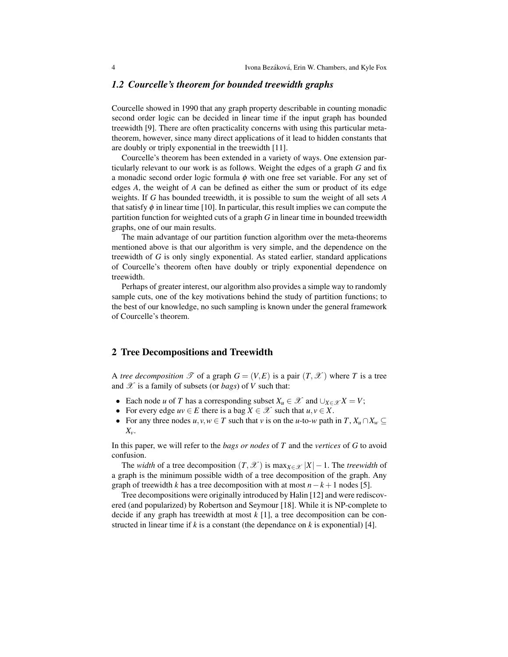#### *1.2 Courcelle's theorem for bounded treewidth graphs*

Courcelle showed in 1990 that any graph property describable in counting monadic second order logic can be decided in linear time if the input graph has bounded treewidth [9]. There are often practicality concerns with using this particular metatheorem, however, since many direct applications of it lead to hidden constants that are doubly or triply exponential in the treewidth [11].

Courcelle's theorem has been extended in a variety of ways. One extension particularly relevant to our work is as follows. Weight the edges of a graph *G* and fix a monadic second order logic formula  $\phi$  with one free set variable. For any set of edges *A*, the weight of *A* can be defined as either the sum or product of its edge weights. If *G* has bounded treewidth, it is possible to sum the weight of all sets *A* that satisfy  $\phi$  in linear time [10]. In particular, this result implies we can compute the partition function for weighted cuts of a graph *G* in linear time in bounded treewidth graphs, one of our main results.

The main advantage of our partition function algorithm over the meta-theorems mentioned above is that our algorithm is very simple, and the dependence on the treewidth of *G* is only singly exponential. As stated earlier, standard applications of Courcelle's theorem often have doubly or triply exponential dependence on treewidth.

Perhaps of greater interest, our algorithm also provides a simple way to randomly sample cuts, one of the key motivations behind the study of partition functions; to the best of our knowledge, no such sampling is known under the general framework of Courcelle's theorem.

#### 2 Tree Decompositions and Treewidth

A *tree decomposition*  $\mathcal{T}$  of a graph  $G = (V, E)$  is a pair  $(T, \mathcal{X})$  where T is a tree and  $\mathscr X$  is a family of subsets (or *bags*) of *V* such that:

- Each node *u* of *T* has a corresponding subset  $X_u \in \mathcal{X}$  and  $\bigcup_{X \in \mathcal{X}} X = V$ ;
- For every edge  $uv \in E$  there is a bag  $X \in \mathcal{X}$  such that  $u, v \in X$ .
- For any three nodes  $u, v, w \in T$  such that *v* is on the *u*-to-*w* path in  $T, X_u \cap X_w \subseteq T$ *Xv*.

In this paper, we will refer to the *bags or nodes* of *T* and the *vertices* of *G* to avoid confusion.

The *width* of a tree decomposition  $(T, \mathcal{X})$  is max $_{X \in \mathcal{X}} |X| - 1$ . The *treewidth* of a graph is the minimum possible width of a tree decomposition of the graph. Any graph of treewidth *k* has a tree decomposition with at most  $n-k+1$  nodes [5].

Tree decompositions were originally introduced by Halin [12] and were rediscovered (and popularized) by Robertson and Seymour [18]. While it is NP-complete to decide if any graph has treewidth at most *k* [1], a tree decomposition can be constructed in linear time if *k* is a constant (the dependance on *k* is exponential) [4].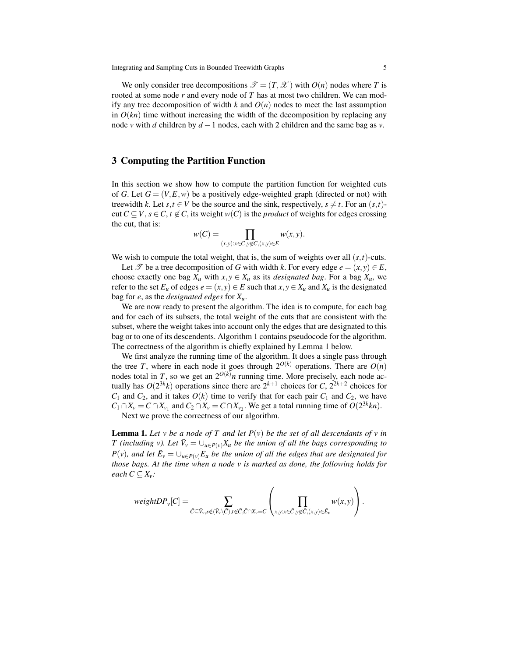We only consider tree decompositions  $\mathscr{T} = (T, \mathscr{X})$  with  $O(n)$  nodes where *T* is rooted at some node *r* and every node of *T* has at most two children. We can modify any tree decomposition of width  $k$  and  $O(n)$  nodes to meet the last assumption in  $O(kn)$  time without increasing the width of the decomposition by replacing any node *v* with *d* children by *d* −1 nodes, each with 2 children and the same bag as *v*.

## 3 Computing the Partition Function

In this section we show how to compute the partition function for weighted cuts of *G*. Let  $G = (V, E, w)$  be a positively edge-weighted graph (directed or not) with treewidth *k*. Let *s*,*t*  $\in$  *V* be the source and the sink, respectively, *s*  $\neq$  *t*. For an  $(s,t)$ cut  $C \subseteq V$ ,  $s \in C$ ,  $t \notin C$ , its weight  $w(C)$  is the *product* of weights for edges crossing the cut, that is:

$$
w(C) = \prod_{(x,y):x \in C, y \notin C, (x,y) \in E} w(x,y).
$$

We wish to compute the total weight, that is, the sum of weights over all  $(s, t)$ -cuts.

Let  $\mathscr T$  be a tree decomposition of *G* with width *k*. For every edge  $e = (x, y) \in E$ , choose exactly one bag  $X_u$  with  $x, y \in X_u$  as its *designated bag*. For a bag  $X_u$ , we refer to the set  $E_u$  of edges  $e = (x, y) \in E$  such that  $x, y \in X_u$  and  $X_u$  is the designated bag for *e*, as the *designated edges* for *Xu*.

We are now ready to present the algorithm. The idea is to compute, for each bag and for each of its subsets, the total weight of the cuts that are consistent with the subset, where the weight takes into account only the edges that are designated to this bag or to one of its descendents. Algorithm 1 contains pseudocode for the algorithm. The correctness of the algorithm is chiefly explained by Lemma 1 below.

We first analyze the running time of the algorithm. It does a single pass through the tree *T*, where in each node it goes through  $2^{O(k)}$  operations. There are  $O(n)$ nodes total in *T*, so we get an  $2^{O(k)}n$  running time. More precisely, each node actually has  $O(2^{3k}k)$  operations since there are  $2^{k+1}$  choices for *C*,  $2^{2k+2}$  choices for  $C_1$  and  $C_2$ , and it takes  $O(k)$  time to verify that for each pair  $C_1$  and  $C_2$ , we have  $C_1 \cap X_v = C \cap X_{v_1}$  and  $C_2 \cap X_v = C \cap X_{v_2}$ . We get a total running time of  $O(2^{3k}kn)$ .

Next we prove the correctness of our algorithm.

**Lemma 1.** Let v be a node of T and let  $P(v)$  be the set of all descendants of v in *T* (including v). Let  $\tilde{V}_v = \bigcup_{u \in P(v)} X_u$  be the union of all the bags corresponding to  $P(v)$ , and let  $\tilde{E}_v = \bigcup_{u \in P(v)} E_u$  be the union of all the edges that are designated for *those bags. At the time when a node v is marked as done, the following holds for each*  $C \subseteq X_v$ *:* 

$$
weightDP_v[C] = \sum_{\tilde{C} \subseteq \tilde{V}_v, s \notin (\tilde{V}_v \setminus \tilde{C}), t \notin \tilde{C}, \tilde{C} \cap X_v = C} \left( \prod_{x, y: x \in \tilde{C}, y \notin \tilde{C}, (x, y) \in \tilde{E}_v} w(x, y) \right).
$$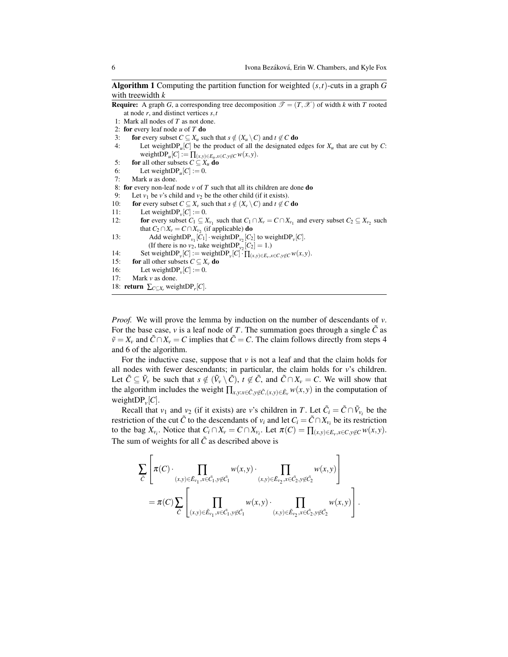Algorithm 1 Computing the partition function for weighted (*s*,*t*)-cuts in a graph *G* with treewidth *k*

```
Require: A graph G, a corresponding tree decomposition \mathcal{T} = (T, \mathcal{X}) of width k with T rooted
    at node r, and distinct vertices s,t
```
- 1: Mark all nodes of *T* as not done.
- 2: for every leaf node *u* of *T* do
- 3: for every subset  $C \subseteq X_u$  such that  $s \notin (X_u \setminus C)$  and  $t \notin C$  do
- 4: Let weight $DP_u[C]$  be the product of all the designated edges for  $X_u$  that are cut by *C*:  $weightDP_u[C] := \prod_{(x,y)\in E_u, x\in C, y\not\in C} w(x,y).$
- 5: **for** all other subsets  $C \subseteq X_u$  do
- 6: Let weight $DP_u[C] := 0$ .
- 7: Mark *u* as done.

8: for every non-leaf node  $v$  of  $T$  such that all its children are done do

- 9: Let  $v_1$  be *v*'s child and  $v_2$  be the other child (if it exists).<br>10: **for** every subset  $C \subseteq X_v$  such that  $s \notin (X_v \setminus C)$  and  $t \notin C$
- **for** every subset  $C \subseteq X_v$  such that  $s \notin (X_v \setminus C)$  and  $t \notin C$  **do**
- 11: Let weightDP<sub>*v*</sub> $[C] := 0$ .
- 12: **for** every subset  $C_1 \subseteq X_{v_1}$  such that  $C_1 \cap X_v = C \cap X_{v_1}$  and every subset  $C_2 \subseteq X_{v_2}$  such that  $C_2 \cap X_v = C \cap X_{v_2}$  (if applicable) **do**
- 13: Add weightDP<sub>*v*1</sub></sub> $[C_1] \cdot$  weightDP<sub>*v*2</sub> $[C_2]$  to weightDP<sub>*v*</sub> $[C]$ . (If there is no  $v_2$ , take weightDP<sub> $v_2$ </sub> $[C_2] = 1$ .)
- 14: Set weightDP<sub>*v*</sub></sub> $[C] := \text{weightDP}_v[C] \cdot \prod_{(x,y)\in E_v, x\in C, y\notin C} w(x,y).$
- 15: **for** all other subsets  $C \subseteq X_v$  do
- 16: Let weight $DP_v[C] := 0$ .
- 17: Mark *v* as done.
- 18: **return**  $\sum_{C \subseteq X_r}$  weightDP<sub>*r*</sub>[*C*].

*Proof.* We will prove the lemma by induction on the number of descendants of *v*. For the base case, *v* is a leaf node of *T*. The summation goes through a single  $\tilde{C}$  as  $\tilde{v} = X_v$  and  $\tilde{C} \cap X_v = C$  implies that  $\tilde{C} = C$ . The claim follows directly from steps 4 and 6 of the algorithm.

For the inductive case, suppose that  $\nu$  is not a leaf and that the claim holds for all nodes with fewer descendants; in particular, the claim holds for *v*'s children. Let  $\tilde{C} \subseteq \tilde{V}_v$  be such that  $s \notin (\tilde{V}_v \setminus \tilde{C}), t \notin \tilde{C}$ , and  $\tilde{C} \cap X_v = C$ . We will show that the algorithm includes the weight  $\prod_{x,y:x\in\tilde{C},y\notin\tilde{C},(x,y)\in\tilde{E}_v} w(x,y)$  in the computation of weight $DP_{\nu}[C]$ .

Recall that  $v_1$  and  $v_2$  (if it exists) are *v*'s children in *T*. Let  $\tilde{C}_i = \tilde{C} \cap \tilde{V}_{v_i}$  be the restriction of the cut  $\tilde{C}$  to the descendants of  $v_i$  and let  $C_i = \tilde{C} \cap X_{v_i}$  be its restriction to the bag  $X_{v_i}$ . Notice that  $C_i \cap X_v = C \cap X_{v_i}$ . Let  $\pi(C) = \prod_{(x,y) \in E_v, x \in C, y \notin C} w(x, y)$ . The sum of weights for all  $\tilde{C}$  as described above is

$$
\sum_{\tilde{C}} \left[ \pi(C) \cdot \prod_{(x,y)\in \tilde{E}_{v_1}, x \in \tilde{C}_1, y \notin \tilde{C}_1} w(x,y) \cdot \prod_{(x,y)\in \tilde{E}_{v_2}, x \in \tilde{C}_2, y \notin \tilde{C}_2} w(x,y) \right] \n= \pi(C) \sum_{\tilde{C}} \left[ \prod_{(x,y)\in \tilde{E}_{v_1}, x \in \tilde{C}_1, y \notin \tilde{C}_1} w(x,y) \cdot \prod_{(x,y)\in \tilde{E}_{v_2}, x \in \tilde{C}_2, y \notin \tilde{C}_2} w(x,y) \right].
$$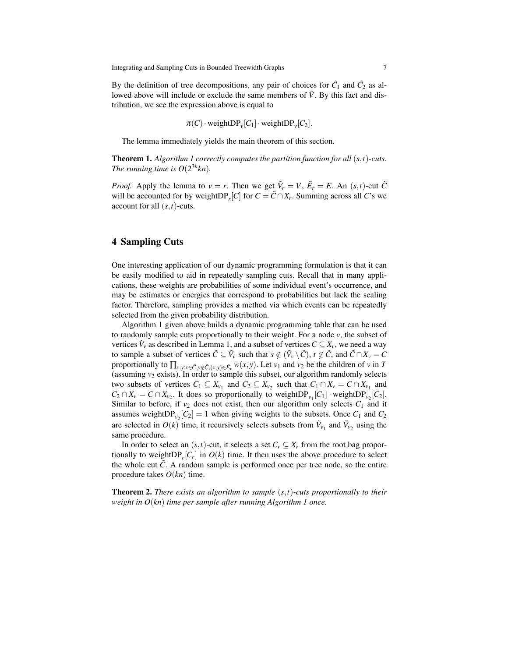By the definition of tree decompositions, any pair of choices for  $\tilde{C}_1$  and  $\tilde{C}_2$  as allowed above will include or exclude the same members of  $\tilde{V}$ . By this fact and distribution, we see the expression above is equal to

$$
\pi(C) \cdot \text{weightDP}_\nu[C_1] \cdot \text{weightDP}_\nu[C_2].
$$

The lemma immediately yields the main theorem of this section.

Theorem 1. *Algorithm 1 correctly computes the partition function for all* (*s*,*t*)*-cuts. The running time is*  $O(2^{3k}kn)$ *.* 

*Proof.* Apply the lemma to  $v = r$ . Then we get  $\tilde{V}_r = V$ ,  $\tilde{E}_r = E$ . An  $(s, t)$ -cut  $\tilde{C}$ will be accounted for by weight $DP_r[C]$  for  $C = \tilde{C} \cap X_r$ . Summing across all *C*'s we account for all (*s*,*t*)-cuts.

## 4 Sampling Cuts

One interesting application of our dynamic programming formulation is that it can be easily modified to aid in repeatedly sampling cuts. Recall that in many applications, these weights are probabilities of some individual event's occurrence, and may be estimates or energies that correspond to probabilities but lack the scaling factor. Therefore, sampling provides a method via which events can be repeatedly selected from the given probability distribution.

Algorithm 1 given above builds a dynamic programming table that can be used to randomly sample cuts proportionally to their weight. For a node *v*, the subset of vertices  $\tilde{V}_v$  as described in Lemma 1, and a subset of vertices  $C \subseteq X_v$ , we need a way to sample a subset of vertices  $\tilde{C} \subseteq \tilde{V}_v$  such that  $s \notin (\tilde{V}_v \setminus \tilde{C}), t \notin \tilde{C}$ , and  $\tilde{C} \cap X_v = C$ proportionally to  $\prod_{x,y:x\in\tilde{C},y\notin\tilde{C},(x,y)\in\tilde{E}_v} w(x,y)$ . Let  $v_1$  and  $v_2$  be the children of  $v$  in *T* (assuming  $v_2$  exists). In order to sample this subset, our algorithm randomly selects two subsets of vertices  $C_1 \subseteq X_{\nu_1}$  and  $C_2 \subseteq X_{\nu_2}$  such that  $C_1 \cap X_{\nu} = C \cap X_{\nu_1}$  and  $C_2 \cap X_v = C \cap X_{v_2}$ . It does so proportionally to weightDP<sub>*v*1</sub></sub> $[C_1] \cdot$ weightDP<sub>*v*2</sub> $[C_2]$ . Similar to before, if  $v_2$  does not exist, then our algorithm only selects  $C_1$  and it assumes weight $DP_{v_2}[C_2] = 1$  when giving weights to the subsets. Once  $C_1$  and  $C_2$ are selected in  $O(k)$  time, it recursively selects subsets from  $\tilde{V}_{v_1}$  and  $\tilde{V}_{v_2}$  using the same procedure.

In order to select an  $(s,t)$ -cut, it selects a set  $C_r \subseteq X_r$  from the root bag proportionally to weight $DP_r[C_r]$  in  $O(k)$  time. It then uses the above procedure to select the whole cut  $\tilde{C}$ . A random sample is performed once per tree node, so the entire procedure takes *O*(*kn*) time.

Theorem 2. *There exists an algorithm to sample* (*s*,*t*)*-cuts proportionally to their weight in O*(*kn*) *time per sample after running Algorithm 1 once.*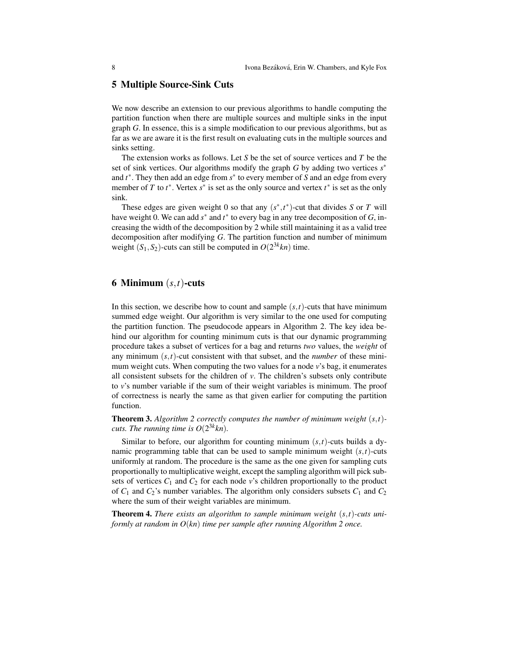## 5 Multiple Source-Sink Cuts

We now describe an extension to our previous algorithms to handle computing the partition function when there are multiple sources and multiple sinks in the input graph *G*. In essence, this is a simple modification to our previous algorithms, but as far as we are aware it is the first result on evaluating cuts in the multiple sources and sinks setting.

The extension works as follows. Let *S* be the set of source vertices and *T* be the set of sink vertices. Our algorithms modify the graph *G* by adding two vertices *s* ∗ and *t* ∗ . They then add an edge from *s* ∗ to every member of *S* and an edge from every member of *T* to  $t^*$ . Vertex  $s^*$  is set as the only source and vertex  $t^*$  is set as the only sink.

These edges are given weight 0 so that any  $(s^*, t^*)$ -cut that divides *S* or *T* will have weight 0. We can add  $s^*$  and  $t^*$  to every bag in any tree decomposition of  $G$ , increasing the width of the decomposition by 2 while still maintaining it as a valid tree decomposition after modifying *G*. The partition function and number of minimum weight  $(S_1, S_2)$ -cuts can still be computed in  $O(2^{3k}kn)$  time.

## 6 Minimum (*s*,*t*)-cuts

In this section, we describe how to count and sample  $(s,t)$ -cuts that have minimum summed edge weight. Our algorithm is very similar to the one used for computing the partition function. The pseudocode appears in Algorithm 2. The key idea behind our algorithm for counting minimum cuts is that our dynamic programming procedure takes a subset of vertices for a bag and returns *two* values, the *weight* of any minimum  $(s, t)$ -cut consistent with that subset, and the *number* of these minimum weight cuts. When computing the two values for a node *v*'s bag, it enumerates all consistent subsets for the children of *v*. The children's subsets only contribute to *v*'s number variable if the sum of their weight variables is minimum. The proof of correctness is nearly the same as that given earlier for computing the partition function.

Theorem 3. *Algorithm 2 correctly computes the number of minimum weight* (*s*,*t*) *cuts. The running time is*  $O(2^{3k}kn)$ *.* 

Similar to before, our algorithm for counting minimum (*s*,*t*)-cuts builds a dynamic programming table that can be used to sample minimum weight  $(s, t)$ -cuts uniformly at random. The procedure is the same as the one given for sampling cuts proportionally to multiplicative weight, except the sampling algorithm will pick subsets of vertices  $C_1$  and  $C_2$  for each node *v*'s children proportionally to the product of  $C_1$  and  $C_2$ 's number variables. The algorithm only considers subsets  $C_1$  and  $C_2$ where the sum of their weight variables are minimum.

Theorem 4. *There exists an algorithm to sample minimum weight* (*s*,*t*)*-cuts uniformly at random in O*(*kn*) *time per sample after running Algorithm 2 once.*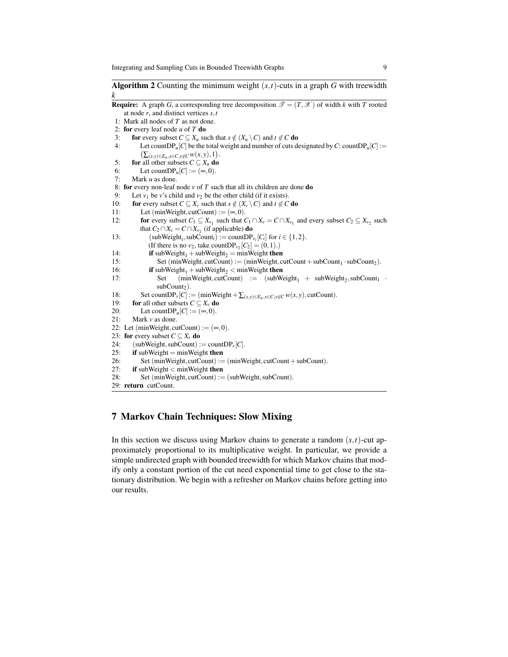**Algorithm 2** Counting the minimum weight  $(s, t)$ -cuts in a graph *G* with treewidth *k*

```
Require: A graph G, a corresponding tree decomposition \mathcal{T} = (T, \mathcal{X}) of width k with T rooted
     at node r, and distinct vertices s,t
 1: Mark all nodes of T as not done.
 2: for every leaf node u of T do
 3: for every subset C \subseteq X_u such that s \notin (X_u \setminus C) and t \notin C do
 4: Let countDP<sub>u</sub><sup>[</sup>C] be the total weight and number of cuts designated by C: countDP<sub>u</sub><sup>[C]</sup> := (\sum_{(x, y) \in E, y \in C, y \notin C} w(x, y), 1).\sum_{(x,y)\in E_u, x\in C, y\not\in C} w(x, y), 1.
 5: for all other subsets C \subseteq X_u do
 6: Let countDP_u[C] := (\infty, 0).
 7: Mark u as done.
 8: for every non-leaf node v of T such that all its children are done do
9: Let v_1 be v's child and v_2 be the other child (if it exists).<br>10: for every subset C \subseteq X_v such that s \notin (X_v \setminus C) and t \notin Cfor every subset C \subseteq X_v such that s \notin (X_v \setminus C) and t \notin C do
11: Let (minWeight, cutCount) := (\infty, 0).
12: for every subset C_1 \subseteq X_{\nu_1} such that C_1 \cap X_{\nu} = C \cap X_{\nu_1} and every subset C_2 \subseteq X_{\nu_2} such
              that C_2 \cap X_v = C \cap X_{v_2} (if applicable) do
13: (subWeight<sub>i</sub></sub>, subCount<sub>i</sub>) := countDP<sub>v<sub>i</sub></sub>[C<sub>i</sub>] for i \in \{1, 2\}.
                  (If there is no v_2, take countDP<sub>v_2</sub>[C_2] = (0,1).)
14: if subWeight<sub>1</sub> + subWeight<sub>2</sub> = minWeight then<br>15: Set (minWeight.cutCount) := (minWeight.c
                      Set (minWeight, cutCount) := (minWeight, cutCount + subCount<sub>1</sub> · subCount<sub>2</sub>).
16: if subWeight<sub>1</sub> + subWeight<sub>2</sub> < minWeight then<br>17: Set (minWeight, cutCount) := (subWe
17: Set (minWeight, cutCount) := (subWeight<sub>1</sub> + subWeight<sub>2</sub>, subCount<sub>1</sub> ·subCount<sub>2</sub>).
18: Set countDP_v[C] := (\text{minWeight} + \sum_{(x,y)\in E_u, x\in C, y\notin C} w(x,y)), cutCount).<br>19: for all other subsets C \subseteq X. do
19: for all other subsets C \subseteq X_v do<br>20: Let countDP<sub>u</sub>[C] := (\infty, 0).
20: Let countDP<sub>u</sub>[C] := (\infty,0).<br>21: Mark v as done.
          Mark v as done.
22: Let (minWeight, cutCount) := (\infty, 0).
23: for every subset C \subseteq X_r do
24: (\text{subWeight}, \text{subCount}) := \text{countDP}_r[C].25: if subWeight = minWeight then
26: Set (minWeight, cutCount) := (minWeight, cutCount + subCount).
27: if subWeight < minWeight then
28: Set (minWeight, cutCount) := (subWeight, subCount).
29: return cutCount.
```
## 7 Markov Chain Techniques: Slow Mixing

In this section we discuss using Markov chains to generate a random  $(s,t)$ -cut approximately proportional to its multiplicative weight. In particular, we provide a simple undirected graph with bounded treewidth for which Markov chains that modify only a constant portion of the cut need exponential time to get close to the stationary distribution. We begin with a refresher on Markov chains before getting into our results.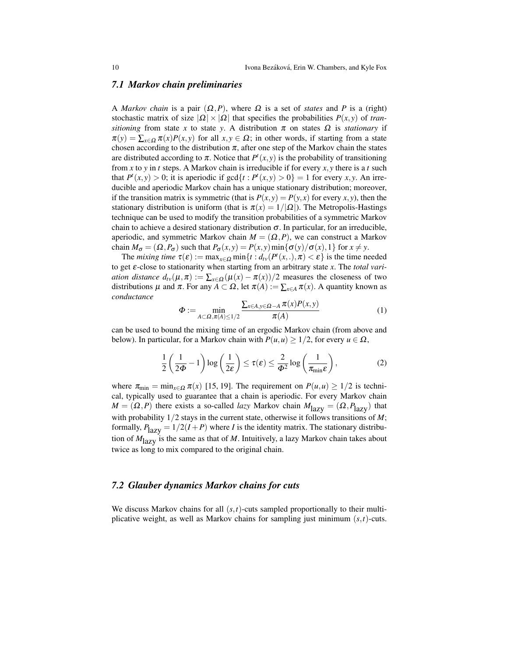#### *7.1 Markov chain preliminaries*

A *Markov chain* is a pair  $(\Omega, P)$ , where  $\Omega$  is a set of *states* and P is a (right) stochastic matrix of size  $|\Omega| \times |\Omega|$  that specifies the probabilities  $P(x, y)$  of *transitioning* from state *x* to state *y*. A distribution  $\pi$  on states  $\Omega$  is *stationary* if  $\pi(y) = \sum_{x \in \Omega} \pi(x)P(x, y)$  for all  $x, y \in \Omega$ ; in other words, if starting from a state chosen according to the distribution  $\pi$ , after one step of the Markov chain the states are distributed according to  $\pi$ . Notice that  $P^t(x, y)$  is the probability of transitioning from *x* to *y* in *t* steps. A Markov chain is irreducible if for every *x*, *y* there is a *t* such that  $P^{t}(x, y) > 0$ ; it is aperiodic if  $gcd{t : P^{t}(x, y) > 0} = 1$  for every *x*, *y*. An irreducible and aperiodic Markov chain has a unique stationary distribution; moreover, if the transition matrix is symmetric (that is  $P(x, y) = P(y, x)$  for every *x*, *y*), then the stationary distribution is uniform (that is  $\pi(x) = 1/|\Omega|$ ). The Metropolis-Hastings technique can be used to modify the transition probabilities of a symmetric Markov chain to achieve a desired stationary distribution  $\sigma$ . In particular, for an irreducible, aperiodic, and symmetric Markov chain  $M = (\Omega, P)$ , we can construct a Markov chain  $M_{\sigma} = (\Omega, P_{\sigma})$  such that  $P_{\sigma}(x, y) = P(x, y) \min{\{\sigma(y)/\sigma(x), 1\}}$  for  $x \neq y$ .

The *mixing time*  $\tau(\varepsilon) := \max_{x \in \Omega} \min\{t : d_{tv}(P^t(x,.), \pi) < \varepsilon\}$  is the time needed to get ε-close to stationarity when starting from an arbitrary state *x*. The *total variation distance*  $d_{tv}(\mu, \pi) := \sum_{x \in \Omega} (\mu(x) - \pi(x))/2$  measures the closeness of two distributions  $\mu$  and  $\pi$ . For any  $A \subset \Omega$ , let  $\pi(A) := \sum_{x \in A} \pi(x)$ . A quantity known as *conductance*

$$
\Phi := \min_{A \subset \Omega, \pi(A) \le 1/2} \frac{\sum_{x \in A, y \in \Omega - A} \pi(x) P(x, y)}{\pi(A)} \tag{1}
$$

can be used to bound the mixing time of an ergodic Markov chain (from above and below). In particular, for a Markov chain with  $P(u, u) \geq 1/2$ , for every  $u \in \Omega$ ,

$$
\frac{1}{2}\left(\frac{1}{2\Phi}-1\right)\log\left(\frac{1}{2\epsilon}\right) \leq \tau(\epsilon) \leq \frac{2}{\Phi^2}\log\left(\frac{1}{\pi_{\min}\epsilon}\right),\tag{2}
$$

where  $\pi_{\min} = \min_{x \in \Omega} \pi(x)$  [15, 19]. The requirement on  $P(u, u) \ge 1/2$  is technical, typically used to guarantee that a chain is aperiodic. For every Markov chain  $M = (\Omega, P)$  there exists a so-called *lazy* Markov chain  $M_{\text{lazy}} = (\Omega, P_{\text{lazy}})$  that with probability 1/2 stays in the current state, otherwise it follows transitions of *M*; formally,  $P_{\text{lazy}} = 1/2(I + P)$  where *I* is the identity matrix. The stationary distribution of  $M_{\text{lazy}}$  is the same as that of *M*. Intuitively, a lazy Markov chain takes about twice as long to mix compared to the original chain.

## *7.2 Glauber dynamics Markov chains for cuts*

We discuss Markov chains for all  $(s,t)$ -cuts sampled proportionally to their multiplicative weight, as well as Markov chains for sampling just minimum (*s*,*t*)-cuts.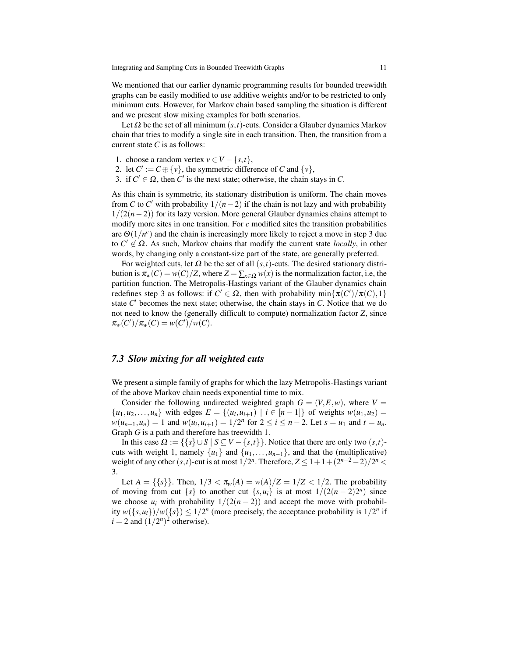We mentioned that our earlier dynamic programming results for bounded treewidth graphs can be easily modified to use additive weights and/or to be restricted to only minimum cuts. However, for Markov chain based sampling the situation is different and we present slow mixing examples for both scenarios.

Let  $\Omega$  be the set of all minimum  $(s,t)$ -cuts. Consider a Glauber dynamics Markov chain that tries to modify a single site in each transition. Then, the transition from a current state *C* is as follows:

- 1. choose a random vertex  $v \in V \{s, t\},\$
- 2. let  $C' := C \oplus \{v\}$ , the symmetric difference of *C* and  $\{v\}$ ,
- 3. if  $C' \in \Omega$ , then  $C'$  is the next state; otherwise, the chain stays in  $C$ .

As this chain is symmetric, its stationary distribution is uniform. The chain moves from *C* to *C'* with probability  $1/(n-2)$  if the chain is not lazy and with probability 1/(2(*n*−2)) for its lazy version. More general Glauber dynamics chains attempt to modify more sites in one transition. For *c* modified sites the transition probabilities are  $\Theta(1/n^c)$  and the chain is increasingly more likely to reject a move in step 3 due to  $C' \notin \Omega$ . As such, Markov chains that modify the current state *locally*, in other words, by changing only a constant-size part of the state, are generally preferred.

For weighted cuts, let  $\Omega$  be the set of all  $(s,t)$ -cuts. The desired stationary distribution is  $\pi_w(C) = w(C)/Z$ , where  $Z = \sum_{x \in \Omega} w(x)$  is the normalization factor, i.e, the partition function. The Metropolis-Hastings variant of the Glauber dynamics chain redefines step 3 as follows: if  $C' \in \Omega$ , then with probability  $\min{\pi(C')}/\pi(C), 1$ state  $C'$  becomes the next state; otherwise, the chain stays in  $C$ . Notice that we do not need to know the (generally difficult to compute) normalization factor *Z*, since  $\pi_w(C')/\pi_w(C) = w(C')/w(C).$ 

#### *7.3 Slow mixing for all weighted cuts*

We present a simple family of graphs for which the lazy Metropolis-Hastings variant of the above Markov chain needs exponential time to mix.

Consider the following undirected weighted graph  $G = (V, E, w)$ , where  $V =$  $\{u_1, u_2, \ldots, u_n\}$  with edges  $E = \{(u_i, u_{i+1}) \mid i \in [n-1]\}$  of weights  $w(u_1, u_2) =$  $w(u_{n-1}, u_n) = 1$  and  $w(u_i, u_{i+1}) = 1/2^n$  for  $2 \le i \le n-2$ . Let  $s = u_1$  and  $t = u_n$ . Graph *G* is a path and therefore has treewidth 1.

In this case  $\Omega := \{\{s\} \cup S \mid S \subseteq V - \{s,t\}\}\.$  Notice that there are only two  $(s,t)$ cuts with weight 1, namely  $\{u_1\}$  and  $\{u_1, \ldots, u_{n-1}\}$ , and that the (multiplicative) weight of any other  $(s,t)$ -cut is at most  $1/2^n$ . Therefore,  $Z \leq 1 + 1 + (2^{n-2} - 2)/2^n$ 3.

Let  $A = \{\{s\}\}\$ . Then,  $1/3 < \pi_w(A) = w(A)/Z = 1/Z < 1/2$ . The probability of moving from cut  $\{s\}$  to another cut  $\{s, u_i\}$  is at most  $1/(2(n-2)2^n)$  since we choose  $u_i$  with probability  $1/(2(n-2))$  and accept the move with probability  $w({s,u_i})/w({s}) \leq 1/2^n$  (more precisely, the acceptance probability is  $1/2^n$  if  $i = 2$  and  $\left(\frac{1}{2^n}\right)^2$  otherwise).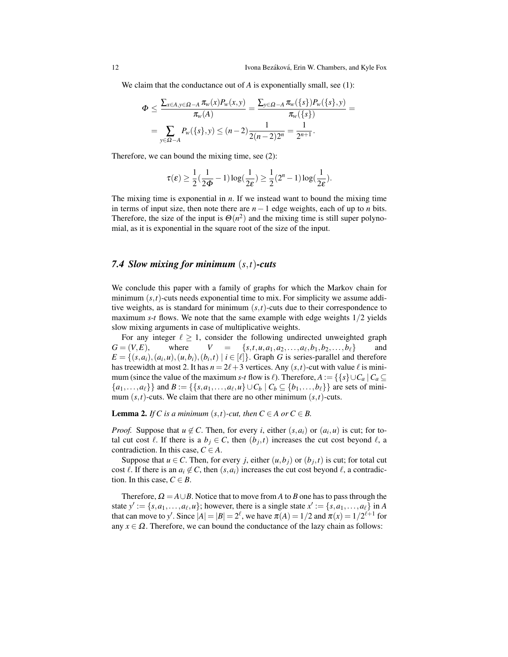We claim that the conductance out of *A* is exponentially small, see (1):

$$
\Phi \leq \frac{\sum_{x \in A, y \in \Omega - A} \pi_w(x) P_w(x, y)}{\pi_w(A)} = \frac{\sum_{y \in \Omega - A} \pi_w(\{s\}) P_w(\{s\}, y)}{\pi_w(\{s\})} = \frac{\sum_{y \in \Omega - A} \pi_w(\{s\}) P_w(\{s\}, y)}{2(n-2)2^n} = \frac{1}{2^{n+1}}.
$$

Therefore, we can bound the mixing time, see (2):

$$
\tau(\varepsilon) \ge \frac{1}{2}(\frac{1}{2\Phi} - 1)\log(\frac{1}{2\varepsilon}) \ge \frac{1}{2}(2^n - 1)\log(\frac{1}{2\varepsilon}).
$$

The mixing time is exponential in *n*. If we instead want to bound the mixing time in terms of input size, then note there are *n*−1 edge weights, each of up to *n* bits. Therefore, the size of the input is  $\Theta(n^2)$  and the mixing time is still super polynomial, as it is exponential in the square root of the size of the input.

## *7.4 Slow mixing for minimum* (*s*,*t*)*-cuts*

We conclude this paper with a family of graphs for which the Markov chain for minimum  $(s,t)$ -cuts needs exponential time to mix. For simplicity we assume additive weights, as is standard for minimum  $(s,t)$ -cuts due to their correspondence to maximum *s*-*t* flows. We note that the same example with edge weights  $1/2$  yields slow mixing arguments in case of multiplicative weights.

For any integer  $\ell \geq 1$ , consider the following undirected unweighted graph  $G = (V, E)$ , where  $V = \{s, t, u, a_1, a_2, \dots, a_\ell, b_1, b_2, \dots, b_\ell\}$  and  $E = \{(s, a_i), (a_i, u), (u, b_i), (b_i, t) \mid i \in [\ell] \}$ . Graph *G* is series-parallel and therefore has treewidth at most 2. It has  $n = 2\ell + 3$  vertices. Any  $(s, t)$ -cut with value  $\ell$  is minimum (since the value of the maximum *s*-*t* flow is  $\ell$ ). Therefore,  $A := \{ \{ s \} \cup C_a | C_a \subseteq$  ${a_1, ..., a_\ell}$  and  $B := { {s, a_1, ..., a_\ell, u} \cup C_b | C_b \subseteq {b_1, ..., b_\ell} }$  are sets of minimum  $(s,t)$ -cuts. We claim that there are no other minimum  $(s,t)$ -cuts.

**Lemma 2.** *If* C is a minimum  $(s,t)$ -cut, then  $C \in A$  or  $C \in B$ .

*Proof.* Suppose that  $u \notin C$ . Then, for every *i*, either  $(s, a_i)$  or  $(a_i, u)$  is cut; for total cut cost  $\ell$ . If there is a  $b_j \in C$ , then  $(b_j, t)$  increases the cut cost beyond  $\ell$ , a contradiction. In this case,  $C \in A$ .

Suppose that  $u \in C$ . Then, for every *j*, either  $(u, b_j)$  or  $(b_j, t)$  is cut; for total cut cost  $\ell$ . If there is an  $a_i \notin C$ , then  $(s, a_i)$  increases the cut cost beyond  $\ell$ , a contradiction. In this case,  $C \in B$ .

Therefore,  $\Omega = A \cup B$ . Notice that to move from *A* to *B* one has to pass through the state  $y' := \{s, a_1, \ldots, a_\ell, u\}$ ; however, there is a single state  $x' := \{s, a_1, \ldots, a_\ell\}$  in *A* that can move to *y'*. Since  $|A| = |B| = 2^{\ell}$ , we have  $\pi(A) = 1/2$  and  $\pi(x) = 1/2^{\ell+1}$  for any  $x \in \Omega$ . Therefore, we can bound the conductance of the lazy chain as follows: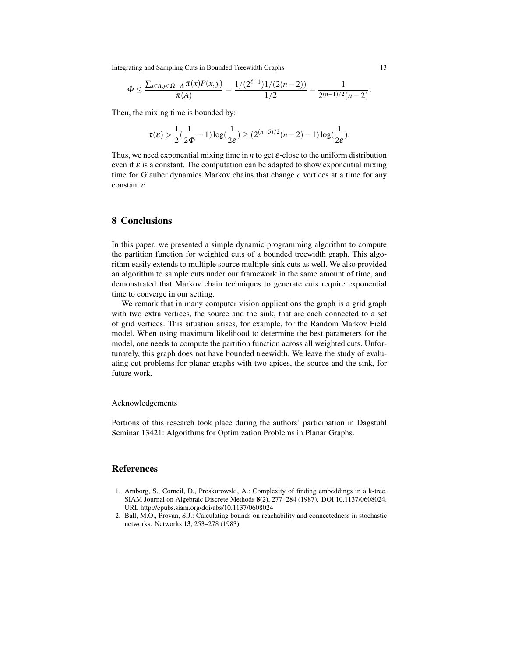Integrating and Sampling Cuts in Bounded Treewidth Graphs 13

$$
\Phi \leq \frac{\sum_{x \in A, y \in \Omega - A} \pi(x) P(x, y)}{\pi(A)} = \frac{1/(2^{\ell+1}) 1/(2(n-2))}{1/2} = \frac{1}{2^{(n-1)/2}(n-2)}.
$$

Then, the mixing time is bounded by:

$$
\tau(\varepsilon) > \frac{1}{2}(\frac{1}{2\Phi} - 1)\log(\frac{1}{2\varepsilon}) \geq (2^{(n-5)/2}(n-2) - 1)\log(\frac{1}{2\varepsilon}).
$$

Thus, we need exponential mixing time in  $n$  to get  $\varepsilon$ -close to the uniform distribution even if  $\varepsilon$  is a constant. The computation can be adapted to show exponential mixing time for Glauber dynamics Markov chains that change *c* vertices at a time for any constant *c*.

## 8 Conclusions

In this paper, we presented a simple dynamic programming algorithm to compute the partition function for weighted cuts of a bounded treewidth graph. This algorithm easily extends to multiple source multiple sink cuts as well. We also provided an algorithm to sample cuts under our framework in the same amount of time, and demonstrated that Markov chain techniques to generate cuts require exponential time to converge in our setting.

We remark that in many computer vision applications the graph is a grid graph with two extra vertices, the source and the sink, that are each connected to a set of grid vertices. This situation arises, for example, for the Random Markov Field model. When using maximum likelihood to determine the best parameters for the model, one needs to compute the partition function across all weighted cuts. Unfortunately, this graph does not have bounded treewidth. We leave the study of evaluating cut problems for planar graphs with two apices, the source and the sink, for future work.

#### Acknowledgements

Portions of this research took place during the authors' participation in Dagstuhl Seminar 13421: Algorithms for Optimization Problems in Planar Graphs.

#### References

- 1. Arnborg, S., Corneil, D., Proskurowski, A.: Complexity of finding embeddings in a k-tree. SIAM Journal on Algebraic Discrete Methods 8(2), 277–284 (1987). DOI 10.1137/0608024. URL http://epubs.siam.org/doi/abs/10.1137/0608024
- 2. Ball, M.O., Provan, S.J.: Calculating bounds on reachability and connectedness in stochastic networks. Networks 13, 253–278 (1983)